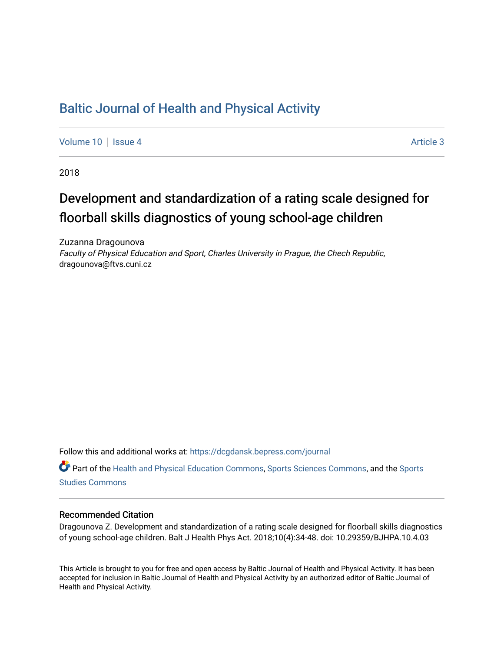# [Baltic Journal of Health and Physical Activity](https://dcgdansk.bepress.com/journal)

[Volume 10](https://dcgdansk.bepress.com/journal/vol10) | [Issue 4](https://dcgdansk.bepress.com/journal/vol10/iss4) Article 3

2018

# Development and standardization of a rating scale designed for floorball skills diagnostics of young school-age children

Zuzanna Dragounova Faculty of Physical Education and Sport, Charles University in Prague, the Chech Republic, dragounova@ftvs.cuni.cz

Follow this and additional works at: [https://dcgdansk.bepress.com/journal](https://dcgdansk.bepress.com/journal?utm_source=dcgdansk.bepress.com%2Fjournal%2Fvol10%2Fiss4%2F3&utm_medium=PDF&utm_campaign=PDFCoverPages)

Part of the [Health and Physical Education Commons](http://network.bepress.com/hgg/discipline/1327?utm_source=dcgdansk.bepress.com%2Fjournal%2Fvol10%2Fiss4%2F3&utm_medium=PDF&utm_campaign=PDFCoverPages), [Sports Sciences Commons](http://network.bepress.com/hgg/discipline/759?utm_source=dcgdansk.bepress.com%2Fjournal%2Fvol10%2Fiss4%2F3&utm_medium=PDF&utm_campaign=PDFCoverPages), and the [Sports](http://network.bepress.com/hgg/discipline/1198?utm_source=dcgdansk.bepress.com%2Fjournal%2Fvol10%2Fiss4%2F3&utm_medium=PDF&utm_campaign=PDFCoverPages)  [Studies Commons](http://network.bepress.com/hgg/discipline/1198?utm_source=dcgdansk.bepress.com%2Fjournal%2Fvol10%2Fiss4%2F3&utm_medium=PDF&utm_campaign=PDFCoverPages) 

#### Recommended Citation

Dragounova Z. Development and standardization of a rating scale designed for floorball skills diagnostics of young school-age children. Balt J Health Phys Act. 2018;10(4):34-48. doi: 10.29359/BJHPA.10.4.03

This Article is brought to you for free and open access by Baltic Journal of Health and Physical Activity. It has been accepted for inclusion in Baltic Journal of Health and Physical Activity by an authorized editor of Baltic Journal of Health and Physical Activity.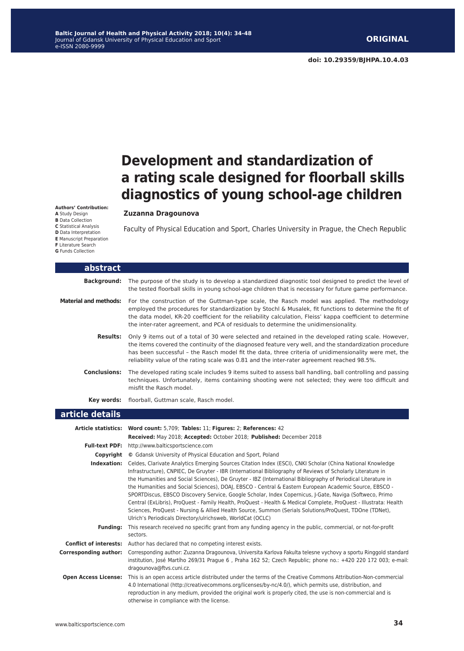# **Development and standardization of a rating scale designed for floorball skills diagnostics of young school-age children**

#### **Zuzanna Dragounova**

Faculty of Physical Education and Sport, Charles University in Prague, the Chech Republic

| abstract                     |                                                                                                                                                                                                                                                                                                                                                                                                                                                                                                                                                                                                                                                                                                                                                                                                                                                                                  |
|------------------------------|----------------------------------------------------------------------------------------------------------------------------------------------------------------------------------------------------------------------------------------------------------------------------------------------------------------------------------------------------------------------------------------------------------------------------------------------------------------------------------------------------------------------------------------------------------------------------------------------------------------------------------------------------------------------------------------------------------------------------------------------------------------------------------------------------------------------------------------------------------------------------------|
| <b>Background:</b>           | The purpose of the study is to develop a standardized diagnostic tool designed to predict the level of<br>the tested floorball skills in young school-age children that is necessary for future game performance.                                                                                                                                                                                                                                                                                                                                                                                                                                                                                                                                                                                                                                                                |
| <b>Material and methods:</b> | For the construction of the Guttman-type scale, the Rasch model was applied. The methodology<br>employed the procedures for standardization by Stochl & Musalek, fit functions to determine the fit of<br>the data model, KR-20 coefficient for the reliability calculation, Fleiss' kappa coefficient to determine<br>the inter-rater agreement, and PCA of residuals to determine the unidimensionality.                                                                                                                                                                                                                                                                                                                                                                                                                                                                       |
| <b>Results:</b>              | Only 9 items out of a total of 30 were selected and retained in the developed rating scale. However,<br>the items covered the continuity of the diagnosed feature very well, and the standardization procedure<br>has been successful - the Rasch model fit the data, three criteria of unidimensionality were met, the<br>reliability value of the rating scale was 0.81 and the inter-rater agreement reached 98.5%.                                                                                                                                                                                                                                                                                                                                                                                                                                                           |
| Conclusions:                 | The developed rating scale includes 9 items suited to assess ball handling, ball controlling and passing<br>techniques. Unfortunately, items containing shooting were not selected; they were too difficult and<br>misfit the Rasch model.                                                                                                                                                                                                                                                                                                                                                                                                                                                                                                                                                                                                                                       |
|                              | Key words: floorball, Guttman scale, Rasch model.                                                                                                                                                                                                                                                                                                                                                                                                                                                                                                                                                                                                                                                                                                                                                                                                                                |
| article details              |                                                                                                                                                                                                                                                                                                                                                                                                                                                                                                                                                                                                                                                                                                                                                                                                                                                                                  |
|                              | Article statistics: Word count: 5,709; Tables: 11; Figures: 2; References: 42                                                                                                                                                                                                                                                                                                                                                                                                                                                                                                                                                                                                                                                                                                                                                                                                    |
|                              | Received: May 2018; Accepted: October 2018; Published: December 2018                                                                                                                                                                                                                                                                                                                                                                                                                                                                                                                                                                                                                                                                                                                                                                                                             |
|                              | Full-text PDF: http://www.balticsportscience.com                                                                                                                                                                                                                                                                                                                                                                                                                                                                                                                                                                                                                                                                                                                                                                                                                                 |
|                              | <b>Copyright</b> © Gdansk University of Physical Education and Sport, Poland                                                                                                                                                                                                                                                                                                                                                                                                                                                                                                                                                                                                                                                                                                                                                                                                     |
|                              | <b>Indexation:</b> Celdes, Clarivate Analytics Emerging Sources Citation Index (ESCI), CNKI Scholar (China National Knowledge<br>Infrastructure), CNPIEC, De Gruyter - IBR (International Bibliography of Reviews of Scholarly Literature in<br>the Humanities and Social Sciences), De Gruyter - IBZ (International Bibliography of Periodical Literature in<br>the Humanities and Social Sciences), DOAJ, EBSCO - Central & Eastern European Academic Source, EBSCO -<br>SPORTDiscus, EBSCO Discovery Service, Google Scholar, Index Copernicus, J-Gate, Naviga (Softweco, Primo<br>Central (ExLibris), ProQuest - Family Health, ProQuest - Health & Medical Complete, ProQuest - Illustrata: Health<br>Sciences, ProQuest - Nursing & Allied Health Source, Summon (Serials Solutions/ProQuest, TDOne (TDNet),<br>Ulrich's Periodicals Directory/ulrichsweb, WorldCat (OCLC) |
| <b>Funding:</b>              | This research received no specific grant from any funding agency in the public, commercial, or not-for-profit<br>sectors.                                                                                                                                                                                                                                                                                                                                                                                                                                                                                                                                                                                                                                                                                                                                                        |
|                              | <b>Conflict of interests:</b> Author has declared that no competing interest exists.                                                                                                                                                                                                                                                                                                                                                                                                                                                                                                                                                                                                                                                                                                                                                                                             |
| <b>Corresponding author:</b> | Corresponding author: Zuzanna Dragounova, Universita Karlova Fakulta telesne vychovy a sportu Ringgold standard<br>institution, José Martího 269/31 Prague 6, Praha 162 52; Czech Republic; phone no.: +420 220 172 003; e-mail:<br>dragounova@ftvs.cuni.cz.                                                                                                                                                                                                                                                                                                                                                                                                                                                                                                                                                                                                                     |
| <b>Open Access License:</b>  | This is an open access article distributed under the terms of the Creative Commons Attribution-Non-commercial<br>4.0 International (http://creativecommons.org/licenses/by-nc/4.0/), which permits use, distribution, and<br>reproduction in any medium, provided the original work is properly cited, the use is non-commercial and is<br>otherwise in compliance with the license.                                                                                                                                                                                                                                                                                                                                                                                                                                                                                             |

**Authors' Contribution: A** Study Design **B** Data Collection **C** Statistical Analysis

- **D** Data Interpretation **E** Manuscript Preparation
- **F** Literature Search
- **G** Funds Collection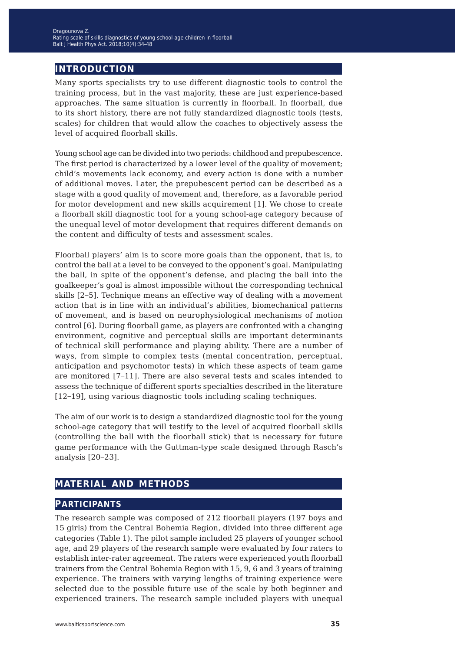# **introduction**

Many sports specialists try to use different diagnostic tools to control the training process, but in the vast majority, these are just experience-based approaches. The same situation is currently in floorball. In floorball, due to its short history, there are not fully standardized diagnostic tools (tests, scales) for children that would allow the coaches to objectively assess the level of acquired floorball skills.

Young school age can be divided into two periods: childhood and prepubescence. The first period is characterized by a lower level of the quality of movement; child's movements lack economy, and every action is done with a number of additional moves. Later, the prepubescent period can be described as a stage with a good quality of movement and, therefore, as a favorable period for motor development and new skills acquirement [1]. We chose to create a floorball skill diagnostic tool for a young school-age category because of the unequal level of motor development that requires different demands on the content and difficulty of tests and assessment scales.

Floorball players' aim is to score more goals than the opponent, that is, to control the ball at a level to be conveyed to the opponent's goal. Manipulating the ball, in spite of the opponent's defense, and placing the ball into the goalkeeper's goal is almost impossible without the corresponding technical skills [2−5]. Technique means an effective way of dealing with a movement action that is in line with an individual's abilities, biomechanical patterns of movement, and is based on neurophysiological mechanisms of motion control [6]. During floorball game, as players are confronted with a changing environment, cognitive and perceptual skills are important determinants of technical skill performance and playing ability. There are a number of ways, from simple to complex tests (mental concentration, perceptual, anticipation and psychomotor tests) in which these aspects of team game are monitored [7−11]. There are also several tests and scales intended to assess the technique of different sports specialties described in the literature [12−19], using various diagnostic tools including scaling techniques.

The aim of our work is to design a standardized diagnostic tool for the young school-age category that will testify to the level of acquired floorball skills (controlling the ball with the floorball stick) that is necessary for future game performance with the Guttman-type scale designed through Rasch's analysis [20−23].

## **material and methods**

## **participants**

The research sample was composed of 212 floorball players (197 boys and 15 girls) from the Central Bohemia Region, divided into three different age categories (Table 1). The pilot sample included 25 players of younger school age, and 29 players of the research sample were evaluated by four raters to establish inter-rater agreement. The raters were experienced youth floorball trainers from the Central Bohemia Region with 15, 9, 6 and 3 years of training experience. The trainers with varying lengths of training experience were selected due to the possible future use of the scale by both beginner and experienced trainers. The research sample included players with unequal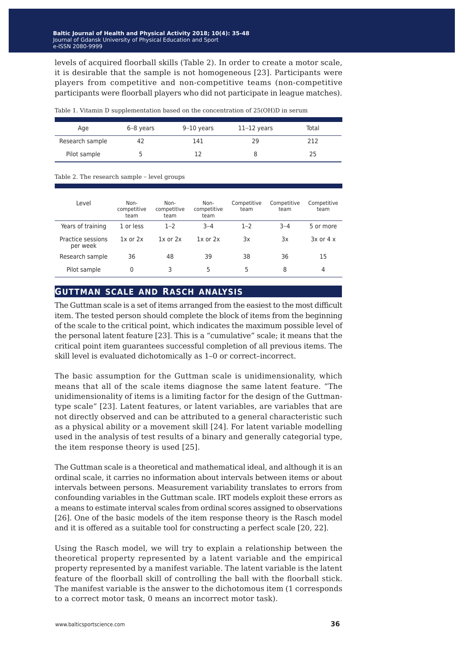levels of acquired floorball skills (Table 2). In order to create a motor scale, it is desirable that the sample is not homogeneous [23]. Participants were players from competitive and non-competitive teams (non-competitive participants were floorball players who did not participate in league matches).

| Age             | $6-8$ years | $9-10$ years | $11-12$ years | Total |
|-----------------|-------------|--------------|---------------|-------|
| Research sample | 42          | 141          | 29            | 212   |
| Pilot sample    |             |              |               | 25    |

Table 1. Vitamin D supplementation based on the concentration of 25(OH)D in serum

Table 2. The research sample − level groups

| Level                         | Non-<br>competitive<br>team | Non-<br>competitive<br>team | Non-<br>competitive<br>team | Competitive<br>team | Competitive<br>team | Competitive<br>team |
|-------------------------------|-----------------------------|-----------------------------|-----------------------------|---------------------|---------------------|---------------------|
| Years of training             | 1 or less                   | $1 - 2$                     | $3 - 4$                     | $1 - 2$             | $3 - 4$             | 5 or more           |
| Practice sessions<br>per week | $1x$ or $2x$                | $1x$ or $2x$                | $1x$ or $2x$                | 3x                  | 3x                  | $3x$ or $4x$        |
| Research sample               | 36                          | 48                          | 39                          | 38                  | 36                  | 15                  |
| Pilot sample                  | 0                           | 3                           | 5                           | 5                   | 8                   | 4                   |

## **guttman scale and rasch analysis**

The Guttman scale is a set of items arranged from the easiest to the most difficult item. The tested person should complete the block of items from the beginning of the scale to the critical point, which indicates the maximum possible level of the personal latent feature [23]. This is a "cumulative" scale; it means that the critical point item guarantees successful completion of all previous items. The skill level is evaluated dichotomically as 1–0 or correct–incorrect.

The basic assumption for the Guttman scale is unidimensionality, which means that all of the scale items diagnose the same latent feature. "The unidimensionality of items is a limiting factor for the design of the Guttmantype scale" [23]. Latent features, or latent variables, are variables that are not directly observed and can be attributed to a general characteristic such as a physical ability or a movement skill [24]. For latent variable modelling used in the analysis of test results of a binary and generally categorial type, the item response theory is used [25].

The Guttman scale is a theoretical and mathematical ideal, and although it is an ordinal scale, it carries no information about intervals between items or about intervals between persons. Measurement variability translates to errors from confounding variables in the Guttman scale. IRT models exploit these errors as a means to estimate interval scales from ordinal scores assigned to observations [26]. One of the basic models of the item response theory is the Rasch model and it is offered as a suitable tool for constructing a perfect scale [20, 22].

Using the Rasch model, we will try to explain a relationship between the theoretical property represented by a latent variable and the empirical property represented by a manifest variable. The latent variable is the latent feature of the floorball skill of controlling the ball with the floorball stick. The manifest variable is the answer to the dichotomous item (1 corresponds to a correct motor task, 0 means an incorrect motor task).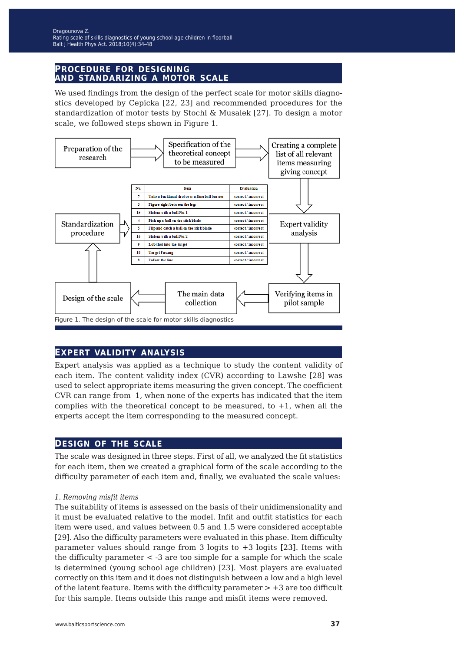#### **procedure for designing and standarizing a motor scale**

We used findings from the design of the perfect scale for motor skills diagnostics developed by Cepicka [22, 23] and recommended procedures for the standardization of motor tests by Stochl & Musalek [27]. To design a motor scale, we followed steps shown in Figure 1.



## **expert validity analysis**

Expert analysis was applied as a technique to study the content validity of each item. The content validity index (CVR) according to Lawshe [28] was used to select appropriate items measuring the given concept. The coefficient CVR can range from 1, when none of the experts has indicated that the item complies with the theoretical concept to be measured, to  $+1$ , when all the experts accept the item corresponding to the measured concept.

## **design of the scale**

The scale was designed in three steps. First of all, we analyzed the fit statistics for each item, then we created a graphical form of the scale according to the difficulty parameter of each item and, finally, we evaluated the scale values:

#### *1. Removing misfit items*

The suitability of items is assessed on the basis of their unidimensionality and it must be evaluated relative to the model. Infit and outfit statistics for each item were used, and values between 0.5 and 1.5 were considered acceptable [29]. Also the difficulty parameters were evaluated in this phase. Item difficulty parameter values should range from 3 logits to  $+3$  logits [23]. Items with the difficulty parameter < -3 are too simple for a sample for which the scale is determined (young school age children) [23]. Most players are evaluated correctly on this item and it does not distinguish between a low and a high level of the latent feature. Items with the difficulty parameter  $> +3$  are too difficult for this sample. Items outside this range and misfit items were removed.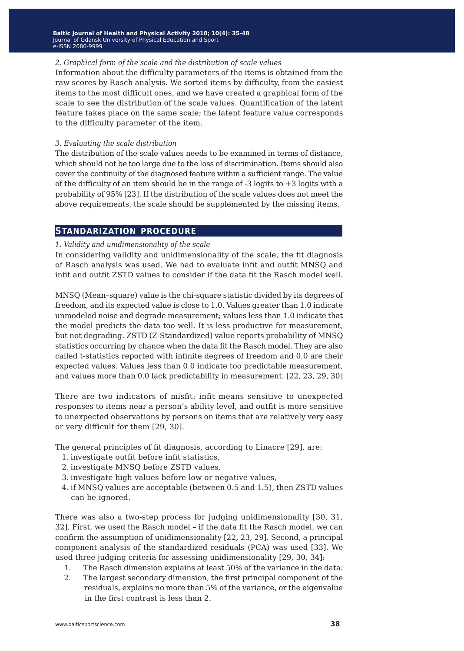**Baltic Journal of Health and Physical Activity 2014; 1(1): 1-4 Baltic Journal of Health and Physical Activity 2018; 10(3): 7-14 10(4): 35-48** Journal of Gdansk University of Physical Education and Sport Journal of Gdansk University of Physical Education and Sport e-ISSN 2080-9999 e-ISSN 2080-9999

#### *2. Graphical form of the scale and the distribution of scale values*

Information about the difficulty parameters of the items is obtained from the raw scores by Rasch analysis. We sorted items by difficulty, from the easiest items to the most difficult ones, and we have created a graphical form of the scale to see the distribution of the scale values. Quantification of the latent feature takes place on the same scale; the latent feature value corresponds to the difficulty parameter of the item.

#### *3. Evaluating the scale distribution*

The distribution of the scale values needs to be examined in terms of distance, which should not be too large due to the loss of discrimination. Items should also cover the continuity of the diagnosed feature within a sufficient range. The value of the difficulty of an item should be in the range of  $-3$  logits to  $+3$  logits with a probability of 95% [23]. If the distribution of the scale values does not meet the above requirements, the scale should be supplemented by the missing items.

## **standarization procedure**

#### *1. Validity and unidimensionality of the scale*

In considering validity and unidimensionality of the scale, the fit diagnosis of Rasch analysis was used. We had to evaluate infit and outfit MNSQ and infit and outfit ZSTD values to consider if the data fit the Rasch model well.

MNSQ (Mean–square) value is the chi-square statistic divided by its degrees of freedom, and its expected value is close to 1.0. Values greater than 1.0 indicate unmodeled noise and degrade measurement; values less than 1.0 indicate that the model predicts the data too well. It is less productive for measurement, but not degrading. ZSTD (Z-Standardized) value reports probability of MNSQ statistics occurring by chance when the data fit the Rasch model. They are also called t-statistics reported with infinite degrees of freedom and 0.0 are their expected values. Values less than 0.0 indicate too predictable measurement, and values more than 0.0 lack predictability in measurement. [22, 23, 29, 30]

There are two indicators of misfit: infit means sensitive to unexpected responses to items near a person's ability level, and outfit is more sensitive to unexpected observations by persons on items that are relatively very easy or very difficult for them [29, 30].

The general principles of fit diagnosis, according to Linacre [29], are:

- 1. investigate outfit before infit statistics,
- 2. investigate MNSQ before ZSTD values,
- 3. investigate high values before low or negative values,
- 4. if MNSQ values are acceptable (between 0.5 and 1.5), then ZSTD values can be ignored.

There was also a two-step process for judging unidimensionality [30, 31, 32]. First, we used the Rasch model – if the data fit the Rasch model, we can confirm the assumption of unidimensionality [22, 23, 29]. Second, a principal component analysis of the standardized residuals (PCA) was used [33]. We used three judging criteria for assessing unidimensionality [29, 30, 34]:

- 1. The Rasch dimension explains at least 50% of the variance in the data.
- 2. The largest secondary dimension, the first principal component of the residuals, explains no more than 5% of the variance, or the eigenvalue in the first contrast is less than 2.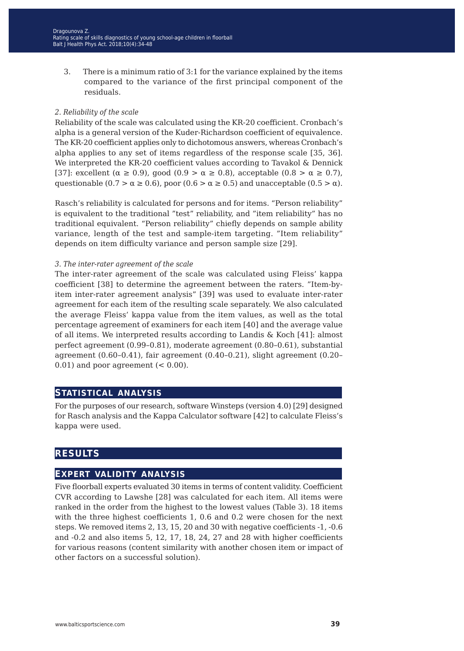3. There is a minimum ratio of 3:1 for the variance explained by the items compared to the variance of the first principal component of the residuals.

#### *2. Reliability of the scale*

Reliability of the scale was calculated using the KR-20 coefficient. Cronbach's alpha is a general version of the Kuder-Richardson coefficient of equivalence. The KR-20 coefficient applies only to dichotomous answers, whereas Cronbach's alpha applies to any set of items regardless of the response scale [35, 36]. We interpreted the KR-20 coefficient values according to Tavakol & Dennick [37]: excellent ( $\alpha \ge 0.9$ ), good (0.9 >  $\alpha \ge 0.8$ ), acceptable (0.8 >  $\alpha \ge 0.7$ ), questionable (0.7  $> \alpha \ge 0.6$ ), poor (0.6  $> \alpha \ge 0.5$ ) and unacceptable (0.5  $> \alpha$ ).

Rasch's reliability is calculated for persons and for items. "Person reliability" is equivalent to the traditional "test" reliability, and "item reliability" has no traditional equivalent. "Person reliability" chiefly depends on sample ability variance, length of the test and sample-item targeting. "Item reliability" depends on item difficulty variance and person sample size [29].

#### *3. The inter-rater agreement of the scale*

The inter-rater agreement of the scale was calculated using Fleiss' kappa coefficient [38] to determine the agreement between the raters. "Item-byitem inter-rater agreement analysis" [39] was used to evaluate inter-rater agreement for each item of the resulting scale separately. We also calculated the average Fleiss' kappa value from the item values, as well as the total percentage agreement of examiners for each item [40] and the average value of all items. We interpreted results according to Landis & Koch [41]: almost perfect agreement (0.99–0.81), moderate agreement (0.80–0.61), substantial agreement (0.60–0.41), fair agreement (0.40–0.21), slight agreement (0.20–  $0.01$ ) and poor agreement  $( $0.00$ ).$ 

## **statistical analysis**

For the purposes of our research, software Winsteps (version 4.0) [29] designed for Rasch analysis and the Kappa Calculator software [42] to calculate Fleiss's kappa were used.

## **results**

## **expert validity analysis**

Five floorball experts evaluated 30 items in terms of content validity. Coefficient CVR according to Lawshe [28] was calculated for each item. All items were ranked in the order from the highest to the lowest values (Table 3). 18 items with the three highest coefficients 1, 0.6 and 0.2 were chosen for the next steps. We removed items 2, 13, 15, 20 and 30 with negative coefficients -1, -0.6 and -0.2 and also items 5, 12, 17, 18, 24, 27 and 28 with higher coefficients for various reasons (content similarity with another chosen item or impact of other factors on a successful solution).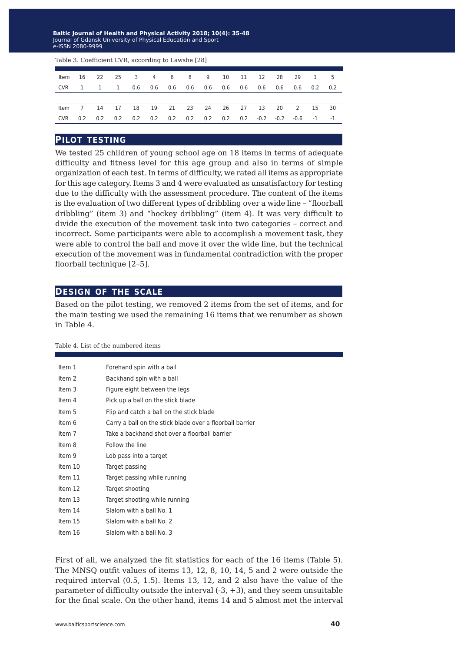**Baltic Journal of Health and Physical Activity 2014; 1(1): 1-4 Baltic Journal of Health and Physical Activity 2018; 10(4): 35-48** Journal of Gdansk University of Physical Education and Sport Journal of Gdansk University of Physical Education and Sport e-ISSN 2080-9999 e-ISSN 2080-9999

|  |  |  |  |  |  | ltem 16 22 25 3 4 6 8 9 10 11 12 28 29 1 5      |  |
|--|--|--|--|--|--|-------------------------------------------------|--|
|  |  |  |  |  |  |                                                 |  |
|  |  |  |  |  |  |                                                 |  |
|  |  |  |  |  |  | Item 7 14 17 18 19 21 23 24 26 27 13 20 2 15 30 |  |
|  |  |  |  |  |  |                                                 |  |
|  |  |  |  |  |  |                                                 |  |

Table 3. Coefficient CVR, according to Lawshe [28]

#### **pilot testing**

We tested 25 children of young school age on 18 items in terms of adequate difficulty and fitness level for this age group and also in terms of simple organization of each test. In terms of difficulty, we rated all items as appropriate for this age category. Items 3 and 4 were evaluated as unsatisfactory for testing due to the difficulty with the assessment procedure. The content of the items is the evaluation of two different types of dribbling over a wide line – "floorball dribbling" (item 3) and "hockey dribbling" (item 4). It was very difficult to divide the execution of the movement task into two categories – correct and incorrect. Some participants were able to accomplish a movement task, they were able to control the ball and move it over the wide line, but the technical execution of the movement was in fundamental contradiction with the proper floorball technique [2−5].

#### **design of the scale**

Based on the pilot testing, we removed 2 items from the set of items, and for the main testing we used the remaining 16 items that we renumber as shown in Table 4.

#### Table 4. List of the numbered items

| Item 1  | Forehand spin with a ball                                |
|---------|----------------------------------------------------------|
| Item 2  | Backhand spin with a ball                                |
| Item 3  | Figure eight between the legs                            |
| Item 4  | Pick up a ball on the stick blade                        |
| Item 5  | Flip and catch a ball on the stick blade                 |
| Item 6  | Carry a ball on the stick blade over a floorball barrier |
| Item 7  | Take a backhand shot over a floorball barrier            |
| Item 8  | Follow the line                                          |
| Item 9  | Lob pass into a target                                   |
| Item 10 | Target passing                                           |
| Item 11 | Target passing while running                             |
| Item 12 | Target shooting                                          |
| Item 13 | Target shooting while running                            |
| Item 14 | Slalom with a ball No. 1                                 |
| Item 15 | Slalom with a ball No. 2                                 |
| Item 16 | Slalom with a ball No. 3                                 |

First of all, we analyzed the fit statistics for each of the 16 items (Table 5). The MNSQ outfit values of items 13, 12, 8, 10, 14, 5 and 2 were outside the required interval (0.5, 1.5). Items 13, 12, and 2 also have the value of the parameter of difficulty outside the interval (-3, +3), and they seem unsuitable for the final scale. On the other hand, items 14 and 5 almost met the interval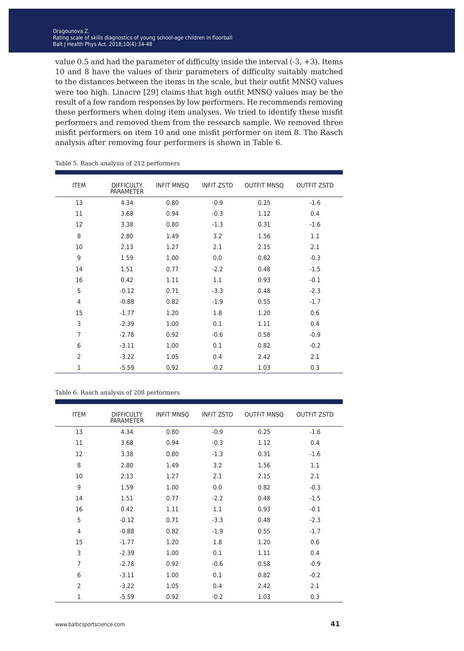value 0.5 and had the parameter of difficulty inside the interval  $(-3, +3)$ . Items 10 and 8 have the values of their parameters of difficulty suitably matched to the distances between the items in the scale, but their outfit MNSQ values were too high. Linacre [29] claims that high outfit MNSQ values may be the result of a few random responses by low performers. He recommends removing these performers when doing item analyses. We tried to identify these misfit performers and removed them from the research sample. We removed three misfit performers on item 10 and one misfit performer on item 8. The Rasch analysis after removing four performers is shown in Table 6.

| <b>ITEM</b>    | <b>DIFFICULTY</b><br><b>PARAMETER</b> | <b>INFIT MNSQ</b> | <b>INFIT ZSTD</b> | <b>OUTFIT MNSQ</b> | <b>OUTFIT ZSTD</b> |
|----------------|---------------------------------------|-------------------|-------------------|--------------------|--------------------|
| 13             | 4.34                                  | 0.80              | $-0.9$            | 0.25               | $-1.6$             |
| 11             | 3.68                                  | 0.94              | $-0.3$            | 1.12               | 0.4                |
| 12             | 3.38                                  | 0.80              | $-1.3$            | 0.31               | $-1.6$             |
| 8              | 2.80                                  | 1.49              | 3.2               | 1.56               | 1.1                |
| 10             | 2.13                                  | 1.27              | 2.1               | 2.15               | 2.1                |
| 9              | 1.59                                  | 1.00              | 0.0               | 0.82               | $-0.3$             |
| 14             | 1.51                                  | 0.77              | $-2.2$            | 0.48               | $-1.5$             |
| 16             | 0.42                                  | 1.11              | 1.1               | 0.93               | $-0.1$             |
| 5              | $-0.12$                               | 0.71              | $-3.3$            | 0.48               | $-2.3$             |
| $\overline{4}$ | $-0.88$                               | 0.82              | $-1.9$            | 0.55               | $-1.7$             |
| 15             | $-1.77$                               | 1.20              | 1.8               | 1.20               | 0.6                |
| 3              | $-2.39$                               | 1.00              | 0.1               | 1.11               | 0.4                |
| $\overline{7}$ | $-2.78$                               | 0.92              | $-0.6$            | 0.58               | $-0.9$             |
| 6              | $-3.11$                               | 1.00              | 0.1               | 0.82               | $-0.2$             |
| $\overline{2}$ | $-3.22$                               | 1.05              | 0.4               | 2.42               | 2.1                |
| $\mathbf{1}$   | $-5.59$                               | 0.92              | $-0.2$            | 1.03               | 0.3                |

Table 5. Rasch analysis of 212 performers

| Table 6. Rasch analysis of 208 performers |  |  |  |  |  |
|-------------------------------------------|--|--|--|--|--|
|-------------------------------------------|--|--|--|--|--|

| <b>ITEM</b>    | <b>DIFFICULTY</b><br><b>PARAMETER</b> | <b>INFIT MNSQ</b> | <b>INFIT ZSTD</b> | <b>OUTFIT MNSQ</b> | <b>OUTFIT ZSTD</b> |
|----------------|---------------------------------------|-------------------|-------------------|--------------------|--------------------|
| 13             | 4.34                                  | 0.80              | $-0.9$            | 0.25               | $-1.6$             |
| 11             | 3.68                                  | 0.94              | $-0.3$            | 1.12               | 0.4                |
| 12             | 3.38                                  | 0.80              | $-1.3$            | 0.31               | $-1.6$             |
| 8              | 2.80                                  | 1.49              | 3.2               | 1.56               | 1.1                |
| 10             | 2.13                                  | 1.27              | 2.1               | 2.15               | 2.1                |
| 9              | 1.59                                  | 1.00              | 0.0               | 0.82               | $-0.3$             |
| 14             | 1.51                                  | 0.77              | $-2.2$            | 0.48               | $-1.5$             |
| 16             | 0.42                                  | 1.11              | 1.1               | 0.93               | $-0.1$             |
| 5              | $-0.12$                               | 0.71              | $-3.3$            | 0.48               | $-2.3$             |
| $\overline{4}$ | $-0.88$                               | 0.82              | $-1.9$            | 0.55               | $-1.7$             |
| 15             | $-1.77$                               | 1.20              | 1.8               | 1.20               | 0.6                |
| 3              | $-2.39$                               | 1.00              | 0.1               | 1.11               | 0.4                |
| $\overline{7}$ | $-2.78$                               | 0.92              | $-0.6$            | 0.58               | $-0.9$             |
| 6              | $-3.11$                               | 1.00              | 0.1               | 0.82               | $-0.2$             |
| $\overline{2}$ | $-3.22$                               | 1.05              | 0.4               | 2.42               | 2.1                |
| 1              | $-5.59$                               | 0.92              | $-0.2$            | 1.03               | 0.3                |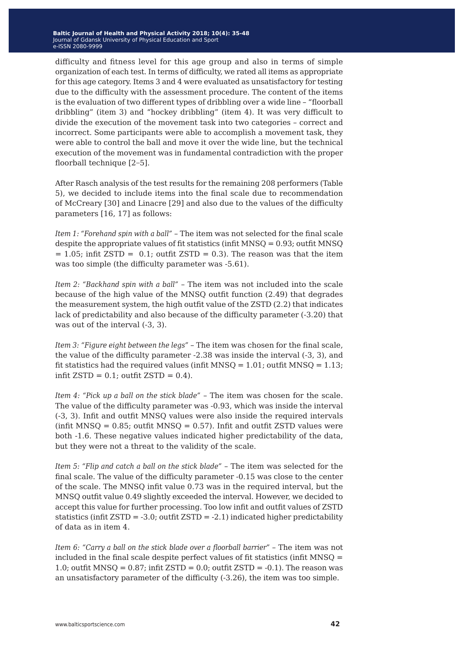difficulty and fitness level for this age group and also in terms of simple organization of each test. In terms of difficulty, we rated all items as appropriate for this age category. Items 3 and 4 were evaluated as unsatisfactory for testing due to the difficulty with the assessment procedure. The content of the items is the evaluation of two different types of dribbling over a wide line – "floorball dribbling" (item 3) and "hockey dribbling" (item 4). It was very difficult to divide the execution of the movement task into two categories – correct and incorrect. Some participants were able to accomplish a movement task, they were able to control the ball and move it over the wide line, but the technical execution of the movement was in fundamental contradiction with the proper floorball technique [2−5].

After Rasch analysis of the test results for the remaining 208 performers (Table 5), we decided to include items into the final scale due to recommendation of McCreary [30] and Linacre [29] and also due to the values of the difficulty parameters [16, 17] as follows:

*Item 1: "Forehand spin with a ball"* – The item was not selected for the final scale despite the appropriate values of fit statistics (infit MNSQ = 0.93; outfit MNSQ  $= 1.05$ ; infit ZSTD = 0.1; outfit ZSTD = 0.3). The reason was that the item was too simple (the difficulty parameter was -5.61).

*Item 2: "Backhand spin with a ball"* – The item was not included into the scale because of the high value of the MNSQ outfit function (2.49) that degrades the measurement system, the high outfit value of the ZSTD (2.2) that indicates lack of predictability and also because of the difficulty parameter (-3.20) that was out of the interval (-3, 3).

*Item 3: "Figure eight between the legs"* – The item was chosen for the final scale, the value of the difficulty parameter -2.38 was inside the interval (-3, 3), and fit statistics had the required values (infit  $MNSQ = 1.01$ ; outfit  $MNSQ = 1.13$ ; infit  $ZSTD = 0.1$ ; outfit  $ZSTD = 0.4$ ).

*Item 4: "Pick up a ball on the stick blade"* – The item was chosen for the scale. The value of the difficulty parameter was -0.93, which was inside the interval (-3, 3). Infit and outfit MNSQ values were also inside the required intervals (infit MNSQ =  $0.85$ ; outfit MNSQ =  $0.57$ ). Infit and outfit ZSTD values were both -1.6. These negative values indicated higher predictability of the data, but they were not a threat to the validity of the scale.

*Item 5: "Flip and catch a ball on the stick blade"* – The item was selected for the final scale. The value of the difficulty parameter -0.15 was close to the center of the scale. The MNSQ infit value 0.73 was in the required interval, but the MNSQ outfit value 0.49 slightly exceeded the interval. However, we decided to accept this value for further processing. Too low infit and outfit values of ZSTD statistics (infit ZSTD = -3.0; outfit ZSTD = -2.1) indicated higher predictability of data as in item 4.

*Item 6: "Carry a ball on the stick blade over a floorball barrier"* – The item was not included in the final scale despite perfect values of fit statistics (infit MNSQ = 1.0; outfit MNSQ =  $0.87$ ; infit ZSTD =  $0.0$ ; outfit ZSTD =  $-0.1$ ). The reason was an unsatisfactory parameter of the difficulty (-3.26), the item was too simple.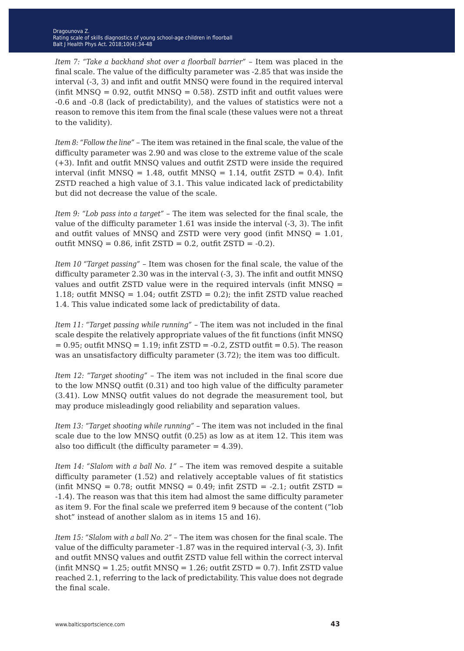*Item 7: "Take a backhand shot over a floorball barrier"* – Item was placed in the final scale. The value of the difficulty parameter was -2.85 that was inside the interval (-3, 3) and infit and outfit MNSQ were found in the required interval (infit MNSQ =  $0.92$ , outfit MNSQ =  $0.58$ ). ZSTD infit and outfit values were -0.6 and -0.8 (lack of predictability), and the values of statistics were not a reason to remove this item from the final scale (these values were not a threat to the validity).

*Item 8: "Follow the line"* – The item was retained in the final scale, the value of the difficulty parameter was 2.90 and was close to the extreme value of the scale (+3). Infit and outfit MNSQ values and outfit ZSTD were inside the required interval (infit MNSQ =  $1.48$ , outfit MNSQ =  $1.14$ , outfit ZSTD = 0.4). Infit ZSTD reached a high value of 3.1. This value indicated lack of predictability but did not decrease the value of the scale.

*Item 9: "Lob pass into a target"* – The item was selected for the final scale, the value of the difficulty parameter 1.61 was inside the interval (-3, 3). The infit and outfit values of MNSQ and ZSTD were very good (infit MNSQ  $= 1.01$ , outfit MNSQ =  $0.86$ , infit ZSTD =  $0.2$ , outfit ZSTD =  $-0.2$ ).

*Item 10 "Target passing"* – Item was chosen for the final scale, the value of the difficulty parameter 2.30 was in the interval (-3, 3). The infit and outfit MNSQ values and outfit ZSTD value were in the required intervals (infit MNSQ = 1.18; outfit MNSQ = 1.04; outfit ZSTD = 0.2); the infit ZSTD value reached 1.4. This value indicated some lack of predictability of data.

*Item 11: "Target passing while running"* – The item was not included in the final scale despite the relatively appropriate values of the fit functions (infit MNSQ  $= 0.95$ ; outfit MNSQ  $= 1.19$ ; infit ZSTD  $= -0.2$ , ZSTD outfit  $= 0.5$ ). The reason was an unsatisfactory difficulty parameter (3.72); the item was too difficult.

*Item 12: "Target shooting"* – The item was not included in the final score due to the low MNSQ outfit (0.31) and too high value of the difficulty parameter (3.41). Low MNSQ outfit values do not degrade the measurement tool, but may produce misleadingly good reliability and separation values.

*Item 13: "Target shooting while running"* – The item was not included in the final scale due to the low MNSQ outfit (0.25) as low as at item 12. This item was also too difficult (the difficulty parameter  $= 4.39$ ).

*Item 14: "Slalom with a ball No. 1"* – The item was removed despite a suitable difficulty parameter (1.52) and relatively acceptable values of fit statistics (infit MNSQ =  $0.78$ ; outfit MNSQ =  $0.49$ ; infit ZSTD =  $-2.1$ ; outfit ZSTD = -1.4). The reason was that this item had almost the same difficulty parameter as item 9. For the final scale we preferred item 9 because of the content ("lob shot" instead of another slalom as in items 15 and 16).

*Item 15: "Slalom with a ball No. 2"* – The item was chosen for the final scale. The value of the difficulty parameter -1.87 was in the required interval (-3, 3). Infit and outfit MNSQ values and outfit ZSTD value fell within the correct interval  $(infit MNSQ = 1.25; \text{outfit MNSQ} = 1.26; \text{outfit ZSTD} = 0.7)$ . Infit ZSTD value reached 2.1, referring to the lack of predictability. This value does not degrade the final scale.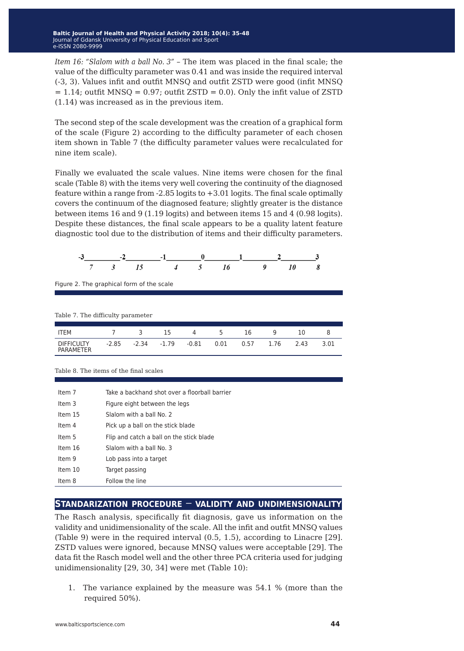*Item 16: "Slalom with a ball No. 3"* – The item was placed in the final scale; the value of the difficulty parameter was 0.41 and was inside the required interval (-3, 3). Values infit and outfit MNSQ and outfit ZSTD were good (infit MNSQ  $= 1.14$ ; outfit MNSQ = 0.97; outfit ZSTD = 0.0). Only the infit value of ZSTD (1.14) was increased as in the previous item.

The second step of the scale development was the creation of a graphical form of the scale (Figure 2) according to the difficulty parameter of each chosen item shown in Table 7 (the difficulty parameter values were recalculated for nine item scale).

Finally we evaluated the scale values. Nine items were chosen for the final scale (Table 8) with the items very well covering the continuity of the diagnosed feature within a range from  $-2.85$  logits to  $+3.01$  logits. The final scale optimally covers the continuum of the diagnosed feature; slightly greater is the distance between items 16 and 9 (1.19 logits) and between items 15 and 4 (0.98 logits). Despite these distances, the final scale appears to be a quality latent feature diagnostic tool due to the distribution of items and their difficulty parameters.

|  | $-1$ |                    |  |                          |
|--|------|--------------------|--|--------------------------|
|  |      | 7 3 15 4 5 16 9 10 |  | $\overline{\mathcal{R}}$ |

Figure 2. The graphical form of the scale

| Table 7. The difficulty parameter     |         |         |         |       |      |      |      |      |      |
|---------------------------------------|---------|---------|---------|-------|------|------|------|------|------|
|                                       |         |         |         |       |      |      |      |      |      |
| <b>ITEM</b>                           |         | 3       | 15      | 4     | 5.   | 16   | q    | 10   |      |
| <b>DIFFICULTY</b><br><b>PARAMETER</b> | $-2.85$ | $-2.34$ | $-1.79$ | -0.81 | 0.01 | 0.57 | 1.76 | 2.43 | 3.01 |

#### Table 8. The items of the final scales

| Item 7   | Take a backhand shot over a floorball barrier |
|----------|-----------------------------------------------|
| Item $3$ | Figure eight between the legs                 |
| Item 15  | Slalom with a ball No. 2                      |
| Item 4   | Pick up a ball on the stick blade             |
| Item 5   | Flip and catch a ball on the stick blade      |
| Item 16  | Slalom with a ball No. 3                      |
| Item 9   | Lob pass into a target                        |
| Item 10  | Target passing                                |
| Item 8   | Follow the line                               |

## **standarization procedure** − **validity and undimensionality**

The Rasch analysis, specifically fit diagnosis, gave us information on the validity and unidimensionality of the scale. All the infit and outfit MNSQ values (Table 9) were in the required interval (0.5, 1.5), according to Linacre [29]. ZSTD values were ignored, because MNSQ values were acceptable [29]. The data fit the Rasch model well and the other three PCA criteria used for judging unidimensionality [29, 30, 34] were met (Table 10):

1. The variance explained by the measure was 54.1 % (more than the required 50%).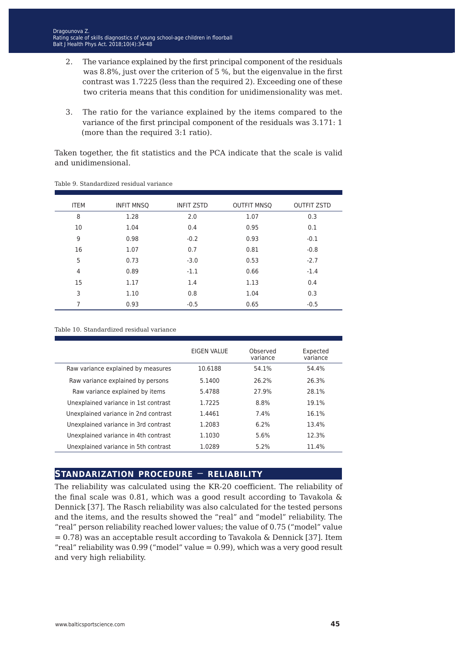- 2. The variance explained by the first principal component of the residuals was 8.8%, just over the criterion of 5 %, but the eigenvalue in the first contrast was 1.7225 (less than the required 2). Exceeding one of these two criteria means that this condition for unidimensionality was met.
- 3. The ratio for the variance explained by the items compared to the variance of the first principal component of the residuals was 3.171: 1 (more than the required 3:1 ratio).

Taken together, the fit statistics and the PCA indicate that the scale is valid and unidimensional.

| <b>ITEM</b> | <b>INFIT MNSQ</b> | <b>INFIT ZSTD</b> | <b>OUTFIT MNSO</b> | <b>OUTFIT ZSTD</b> |
|-------------|-------------------|-------------------|--------------------|--------------------|
| 8           | 1.28              | 2.0               | 1.07               | 0.3                |
| 10          | 1.04              | 0.4               | 0.95               | 0.1                |
| 9           | 0.98              | $-0.2$            | 0.93               | $-0.1$             |
| 16          | 1.07              | 0.7               | 0.81               | $-0.8$             |
| 5           | 0.73              | $-3.0$            | 0.53               | $-2.7$             |
| 4           | 0.89              | $-1.1$            | 0.66               | $-1.4$             |
| 15          | 1.17              | 1.4               | 1.13               | 0.4                |
| 3           | 1.10              | 0.8               | 1.04               | 0.3                |
| 7           | 0.93              | $-0.5$            | 0.65               | $-0.5$             |

Table 9. Standardized residual variance

Table 10. Standardized residual variance

|                                      | EIGEN VALUE | Observed<br>variance | Expected<br>variance |
|--------------------------------------|-------------|----------------------|----------------------|
| Raw variance explained by measures   | 10.6188     | 54.1%                | 54.4%                |
| Raw variance explained by persons    | 5.1400      | 26.2%                | 26.3%                |
| Raw variance explained by items      | 5.4788      | 27.9%                | 28.1%                |
| Unexplained variance in 1st contrast | 1.7225      | 8.8%                 | 19.1%                |
| Unexplained variance in 2nd contrast | 1.4461      | 7.4%                 | 16.1%                |
| Unexplained variance in 3rd contrast | 1.2083      | 6.2%                 | 13.4%                |
| Unexplained variance in 4th contrast | 1.1030      | 5.6%                 | 12.3%                |
| Unexplained variance in 5th contrast | 1.0289      | 5.2%                 | 11.4%                |

## **standarization procedure** − **reliability**

The reliability was calculated using the KR-20 coefficient. The reliability of the final scale was 0.81, which was a good result according to Tavakola & Dennick [37]. The Rasch reliability was also calculated for the tested persons and the items, and the results showed the "real" and "model" reliability. The "real" person reliability reached lower values; the value of 0.75 ("model" value  $= 0.78$ ) was an acceptable result according to Tavakola & Dennick [37]. Item "real" reliability was  $0.99$  ("model" value =  $0.99$ ), which was a very good result and very high reliability.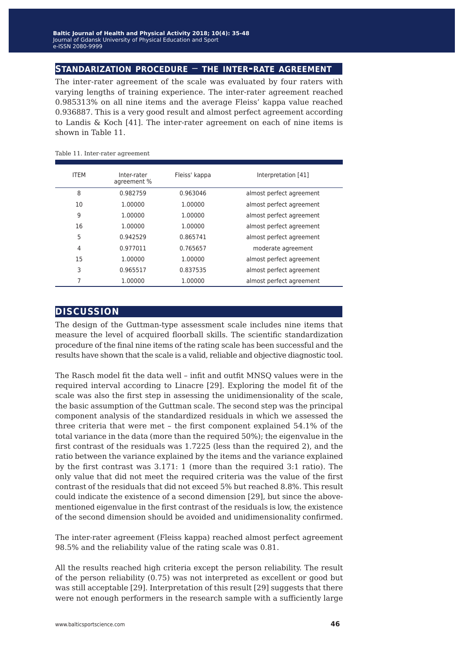## **standarization procedure** − **the inter-rate agreement**

The inter-rater agreement of the scale was evaluated by four raters with varying lengths of training experience. The inter-rater agreement reached 0.985313% on all nine items and the average Fleiss' kappa value reached 0.936887. This is a very good result and almost perfect agreement according to Landis & Koch [41]. The inter-rater agreement on each of nine items is shown in Table 11.

| <b>ITEM</b> | Inter-rater<br>agreement % | Fleiss' kappa | Interpretation [41]      |
|-------------|----------------------------|---------------|--------------------------|
| 8           | 0.982759                   | 0.963046      | almost perfect agreement |
| 10          | 1.00000                    | 1.00000       | almost perfect agreement |
| 9           | 1.00000                    | 1.00000       | almost perfect agreement |
| 16          | 1.00000                    | 1.00000       | almost perfect agreement |
| 5           | 0.942529                   | 0.865741      | almost perfect agreement |
| 4           | 0.977011                   | 0.765657      | moderate agreement       |
| 15          | 1.00000                    | 1.00000       | almost perfect agreement |
| 3           | 0.965517                   | 0.837535      | almost perfect agreement |
| 7           | 1.00000                    | 1.00000       | almost perfect agreement |

#### Table 11. Inter-rater agreement

## **discussion**

The design of the Guttman-type assessment scale includes nine items that measure the level of acquired floorball skills. The scientific standardization procedure of the final nine items of the rating scale has been successful and the results have shown that the scale is a valid, reliable and objective diagnostic tool.

The Rasch model fit the data well – infit and outfit MNSQ values were in the required interval according to Linacre [29]. Exploring the model fit of the scale was also the first step in assessing the unidimensionality of the scale, the basic assumption of the Guttman scale. The second step was the principal component analysis of the standardized residuals in which we assessed the three criteria that were met – the first component explained 54.1% of the total variance in the data (more than the required 50%); the eigenvalue in the first contrast of the residuals was 1.7225 (less than the required 2), and the ratio between the variance explained by the items and the variance explained by the first contrast was 3.171: 1 (more than the required 3:1 ratio). The only value that did not meet the required criteria was the value of the first contrast of the residuals that did not exceed 5% but reached 8.8%. This result could indicate the existence of a second dimension [29], but since the abovementioned eigenvalue in the first contrast of the residuals is low, the existence of the second dimension should be avoided and unidimensionality confirmed.

The inter-rater agreement (Fleiss kappa) reached almost perfect agreement 98.5% and the reliability value of the rating scale was 0.81.

All the results reached high criteria except the person reliability. The result of the person reliability (0.75) was not interpreted as excellent or good but was still acceptable [29]. Interpretation of this result [29] suggests that there were not enough performers in the research sample with a sufficiently large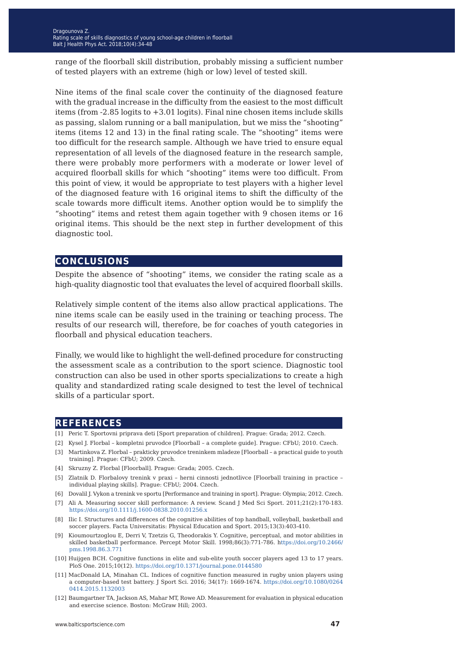range of the floorball skill distribution, probably missing a sufficient number of tested players with an extreme (high or low) level of tested skill.

Nine items of the final scale cover the continuity of the diagnosed feature with the gradual increase in the difficulty from the easiest to the most difficult items (from -2.85 logits to +3.01 logits). Final nine chosen items include skills as passing, slalom running or a ball manipulation, but we miss the "shooting" items (items 12 and 13) in the final rating scale. The "shooting" items were too difficult for the research sample. Although we have tried to ensure equal representation of all levels of the diagnosed feature in the research sample, there were probably more performers with a moderate or lower level of acquired floorball skills for which "shooting" items were too difficult. From this point of view, it would be appropriate to test players with a higher level of the diagnosed feature with 16 original items to shift the difficulty of the scale towards more difficult items. Another option would be to simplify the "shooting" items and retest them again together with 9 chosen items or 16 original items. This should be the next step in further development of this diagnostic tool.

#### **conclusions**

Despite the absence of "shooting" items, we consider the rating scale as a high-quality diagnostic tool that evaluates the level of acquired floorball skills.

Relatively simple content of the items also allow practical applications. The nine items scale can be easily used in the training or teaching process. The results of our research will, therefore, be for coaches of youth categories in floorball and physical education teachers.

Finally, we would like to highlight the well-defined procedure for constructing the assessment scale as a contribution to the sport science. Diagnostic tool construction can also be used in other sports specializations to create a high quality and standardized rating scale designed to test the level of technical skills of a particular sport.

## **references**

- [1] Peric T. Sportovni priprava deti [Sport preparation of children]. Prague: Grada; 2012. Czech.
- [2] Kysel J. Florbal kompletni pruvodce [Floorball a complete guide]. Prague: CFbU; 2010. Czech.
- [3] Martinkova Z. Florbal prakticky pruvodce treninkem mladeze [Floorball a practical guide to youth training]. Prague: CFbU; 2009. Czech.
- [4] Skruzny Z. Florbal [Floorball]. Prague: Grada; 2005. Czech.
- [5] Zlatnik D. Florbalovy trenink v praxi herni cinnosti jednotlivce [Floorball training in practice individual playing skills]. Prague: CFbU; 2004. Czech.
- [6] Dovalil J. Vykon a trenink ve sportu [Performance and training in sport]. Prague: Olympia; 2012. Czech.
- [7] Ali A. Measuring soccer skill performance: A review. Scand J Med Sci Sport. 2011;21(2):170-183. <https://doi.org/10.1111/j.1600-0838.2010.01256.x>
- [8] Ilic I. Structures and differences of the cognitive abilities of top handball, volleyball, basketball and soccer players. Facta Universitatis: Physical Education and Sport. 2015;13(3):403-410.
- [9] Kioumourtzoglou E, Derri V, Tzetzis G, Theodorakis Y. Cognitive, perceptual, and motor abilities in skilled basketball performance. Percept Motor Skill. 1998;86(3):771-786. [https://doi.org/10.2466/](https://doi.org/10.2466/pms.1998.86.3.771) [pms.1998.86.3.771](https://doi.org/10.2466/pms.1998.86.3.771)
- [10] Huijgen BCH. Cognitive functions in elite and sub-elite youth soccer players aged 13 to 17 years. PloS One. 2015;10(12). <https://doi.org/10.1371/journal.pone.0144580>
- [11] MacDonald LA, Minahan CL. Indices of cognitive function measured in rugby union players using a computer-based test battery. J Sport Sci. 2016; 34(17): 1669-1674. [https://doi.org/10.1080/0264](https://doi.org/10.1080/02640414.2015.1132003) [0414.2015.1132003](https://doi.org/10.1080/02640414.2015.1132003)
- [12] Baumgartner TA, Jackson AS, Mahar MT, Rowe AD. Measurement for evaluation in physical education and exercise science. Boston: McGraw Hill; 2003.